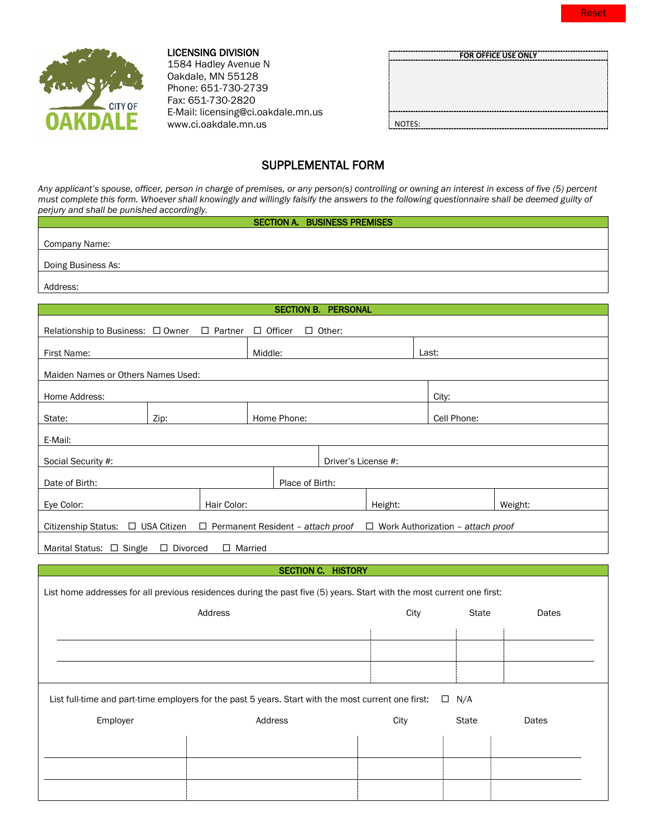

## LICENSING DIVISION

1584 Hadley Avenue N Oakdale, MN 55128 Phone: 651-730-2739 Fax: 651-730-2820 E-Mail: licensing@ci.oakdale.mn.us www.ci.oakdale.mn.us

|        | FOR OFFICE USE ONLY |  |
|--------|---------------------|--|
|        |                     |  |
|        |                     |  |
|        |                     |  |
|        |                     |  |
|        |                     |  |
|        |                     |  |
| NOTES: |                     |  |
|        |                     |  |

# SUPPLEMENTAL FORM

*Any applicant's spouse, officer, person in charge of premises, or any person(s) controlling or owning an interest in excess of five (5) percent must complete this form. Whoever shall knowingly and willingly falsify the answers to the following questionnaire shall be deemed guilty of perjury and shall be punished accordingly.*

## SECTION A. BUSINESS PREMISES

Company Name:

Doing Business As:

Address:

| <b>SECTION B. PERSONAL</b>                                                                                             |                                    |                                                                                   |         |      |             |              |                     |  |         |              |       |
|------------------------------------------------------------------------------------------------------------------------|------------------------------------|-----------------------------------------------------------------------------------|---------|------|-------------|--------------|---------------------|--|---------|--------------|-------|
| $\Box$ Other:<br>Relationship to Business: □ Owner<br>$\Box$ Officer<br>$\Box$ Partner                                 |                                    |                                                                                   |         |      |             |              |                     |  |         |              |       |
| First Name:                                                                                                            |                                    |                                                                                   | Middle: |      |             |              |                     |  | Last:   |              |       |
|                                                                                                                        | Maiden Names or Others Names Used: |                                                                                   |         |      |             |              |                     |  |         |              |       |
| Home Address:                                                                                                          |                                    |                                                                                   |         |      | City:       |              |                     |  |         |              |       |
| Zip:<br>Home Phone:<br>State:                                                                                          |                                    |                                                                                   |         |      | Cell Phone: |              |                     |  |         |              |       |
| E-Mail:                                                                                                                |                                    |                                                                                   |         |      |             |              |                     |  |         |              |       |
| Social Security #:                                                                                                     |                                    |                                                                                   |         |      |             |              | Driver's License #: |  |         |              |       |
| Date of Birth:                                                                                                         | Place of Birth:                    |                                                                                   |         |      |             |              |                     |  |         |              |       |
| Eye Color:                                                                                                             |                                    | Hair Color:                                                                       |         |      | Height:     |              |                     |  | Weight: |              |       |
| Citizenship Status: □ USA Citizen                                                                                      |                                    | $\Box$ Permanent Resident - attach proof $\Box$ Work Authorization - attach proof |         |      |             |              |                     |  |         |              |       |
| Marital Status: □ Single                                                                                               | □ Divorced                         | $\Box$ Married                                                                    |         |      |             |              |                     |  |         |              |       |
|                                                                                                                        |                                    |                                                                                   |         |      |             |              |                     |  |         |              |       |
| <b>SECTION C. HISTORY</b>                                                                                              |                                    |                                                                                   |         |      |             |              |                     |  |         |              |       |
| List home addresses for all previous residences during the past five (5) years. Start with the most current one first: |                                    |                                                                                   |         |      |             |              |                     |  |         |              |       |
| Address                                                                                                                |                                    |                                                                                   |         | City |             | <b>State</b> | Dates               |  |         |              |       |
|                                                                                                                        |                                    |                                                                                   |         |      |             |              |                     |  |         |              |       |
|                                                                                                                        |                                    |                                                                                   |         |      |             |              |                     |  |         |              |       |
|                                                                                                                        |                                    |                                                                                   |         |      |             |              |                     |  |         |              |       |
| List full-time and part-time employers for the past 5 years. Start with the most current one first:<br>$\Box$ N/A      |                                    |                                                                                   |         |      |             |              |                     |  |         |              |       |
| Employer                                                                                                               |                                    |                                                                                   | Address |      |             |              | City                |  |         | <b>State</b> | Dates |
|                                                                                                                        |                                    |                                                                                   |         |      |             |              |                     |  |         |              |       |
|                                                                                                                        |                                    |                                                                                   |         |      |             |              |                     |  |         |              |       |
|                                                                                                                        |                                    |                                                                                   |         |      |             |              |                     |  |         |              |       |
|                                                                                                                        |                                    |                                                                                   |         |      |             |              |                     |  |         |              |       |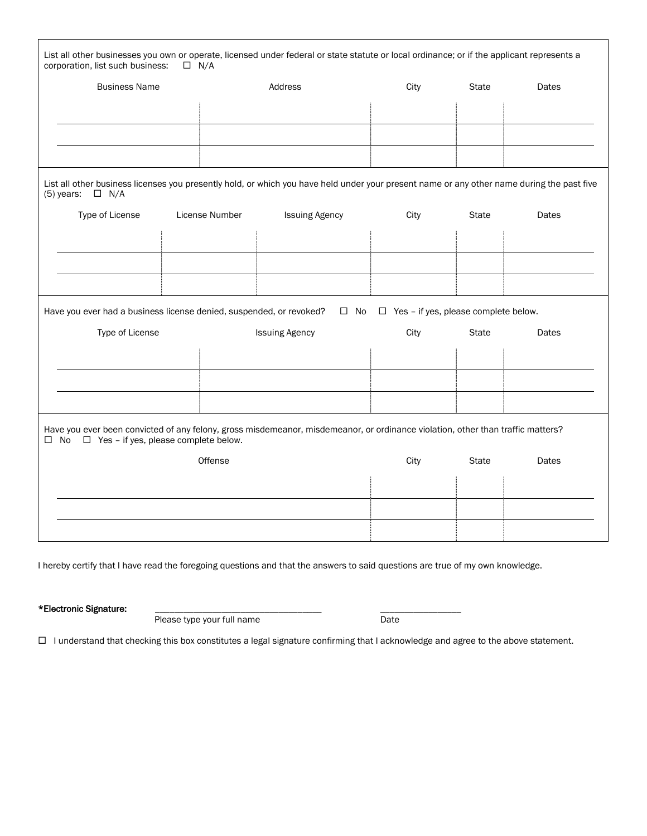| List all other businesses you own or operate, licensed under federal or state statute or local ordinance; or if the applicant represents a<br>corporation, list such business:<br>$\Box$ N/A   |                |                       |      |       |       |  |
|------------------------------------------------------------------------------------------------------------------------------------------------------------------------------------------------|----------------|-----------------------|------|-------|-------|--|
| <b>Business Name</b>                                                                                                                                                                           |                | <b>Address</b>        | City | State | Dates |  |
|                                                                                                                                                                                                |                |                       |      |       |       |  |
|                                                                                                                                                                                                |                |                       |      |       |       |  |
|                                                                                                                                                                                                |                |                       |      |       |       |  |
|                                                                                                                                                                                                |                |                       |      |       |       |  |
| List all other business licenses you presently hold, or which you have held under your present name or any other name during the past five<br>$(5)$ years:<br>$\Box$ N/A                       |                |                       |      |       |       |  |
| Type of License                                                                                                                                                                                | License Number | <b>Issuing Agency</b> | City | State | Dates |  |
|                                                                                                                                                                                                |                |                       |      |       |       |  |
|                                                                                                                                                                                                |                |                       |      |       |       |  |
|                                                                                                                                                                                                |                |                       |      |       |       |  |
|                                                                                                                                                                                                |                |                       |      |       |       |  |
| Have you ever had a business license denied, suspended, or revoked?<br>$\Box$ Yes - if yes, please complete below.<br>$\square$ No                                                             |                |                       |      |       |       |  |
| Type of License                                                                                                                                                                                |                | <b>Issuing Agency</b> | City | State | Dates |  |
|                                                                                                                                                                                                |                |                       |      |       |       |  |
|                                                                                                                                                                                                |                |                       |      |       |       |  |
|                                                                                                                                                                                                |                |                       |      |       |       |  |
| Have you ever been convicted of any felony, gross misdemeanor, misdemeanor, or ordinance violation, other than traffic matters?<br>$\Box$ Yes - if yes, please complete below.<br>$\square$ No |                |                       |      |       |       |  |
|                                                                                                                                                                                                | Offense        |                       | City | State | Dates |  |
|                                                                                                                                                                                                |                |                       |      |       |       |  |
|                                                                                                                                                                                                |                |                       |      |       |       |  |
|                                                                                                                                                                                                |                |                       |      |       |       |  |
|                                                                                                                                                                                                |                |                       |      |       |       |  |

I hereby certify that I have read the foregoing questions and that the answers to said questions are true of my own knowledge.

\*Electronic Signature: <br>Please type your full name

Please type your full name

I understand that checking this box constitutes a legal signature confirming that I acknowledge and agree to the above statement.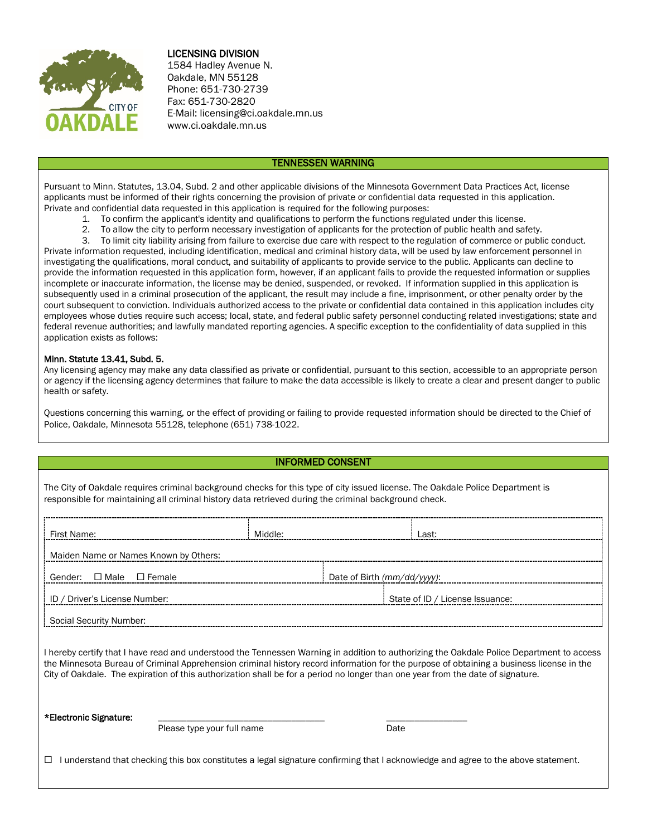

## LICENSING DIVISION

1584 Hadley Avenue N. Oakdale, MN 55128 Phone: 651-730-2739 Fax: 651-730-2820 E-Mail: licensing@ci.oakdale.mn.us www.ci.oakdale.mn.us

### TENNESSEN WARNING

Pursuant to Minn. Statutes, 13.04, Subd. 2 and other applicable divisions of the Minnesota Government Data Practices Act, license applicants must be informed of their rights concerning the provision of private or confidential data requested in this application. Private and confidential data requested in this application is required for the following purposes:

- 1. To confirm the applicant's identity and qualifications to perform the functions regulated under this license.
- 2. To allow the city to perform necessary investigation of applicants for the protection of public health and safety.<br>3. To limit city liability arising from failure to exercise due care with respect to the regulation of c
- 3. To limit city liability arising from failure to exercise due care with respect to the regulation of commerce or public conduct.

Private information requested, including identification, medical and criminal history data, will be used by law enforcement personnel in investigating the qualifications, moral conduct, and suitability of applicants to provide service to the public. Applicants can decline to provide the information requested in this application form, however, if an applicant fails to provide the requested information or supplies incomplete or inaccurate information, the license may be denied, suspended, or revoked. If information supplied in this application is subsequently used in a criminal prosecution of the applicant, the result may include a fine, imprisonment, or other penalty order by the court subsequent to conviction. Individuals authorized access to the private or confidential data contained in this application includes city employees whose duties require such access; local, state, and federal public safety personnel conducting related investigations; state and federal revenue authorities; and lawfully mandated reporting agencies. A specific exception to the confidentiality of data supplied in this application exists as follows:

#### Minn. Statute 13.41, Subd. 5.

Any licensing agency may make any data classified as private or confidential, pursuant to this section, accessible to an appropriate person or agency if the licensing agency determines that failure to make the data accessible is likely to create a clear and present danger to public health or safety.

Questions concerning this warning, or the effect of providing or failing to provide requested information should be directed to the Chief of Police, Oakdale, Minnesota 55128, telephone (651) 738-1022.

## INFORMED CONSENT

The City of Oakdale requires criminal background checks for this type of city issued license. The Oakdale Police Department is responsible for maintaining all criminal history data retrieved during the criminal background check.

| First Name:                           | Middle: | l ast:                          |  |  |
|---------------------------------------|---------|---------------------------------|--|--|
| Maiden Name or Names Known by Others: |         |                                 |  |  |
| Gender: $\Box$ Male $\Box$ Female     |         | Date of Birth (mm/dd/yyyy):     |  |  |
| ID / Driver's License Number:         |         | State of ID / License Issuance: |  |  |
| Social Security Number:               |         |                                 |  |  |

I hereby certify that I have read and understood the Tennessen Warning in addition to authorizing the Oakdale Police Department to access the Minnesota Bureau of Criminal Apprehension criminal history record information for the purpose of obtaining a business license in the City of Oakdale. The expiration of this authorization shall be for a period no longer than one year from the date of signature.

\*Electronic Signature: \_\_\_\_\_\_\_\_\_\_\_\_\_\_\_\_\_\_\_\_\_\_\_\_\_\_\_\_\_\_\_\_\_\_\_ \_\_\_\_\_\_\_\_\_\_\_\_\_\_\_\_\_ Please type your full name

 $\Box$  I understand that checking this box constitutes a legal signature confirming that I acknowledge and agree to the above statement.